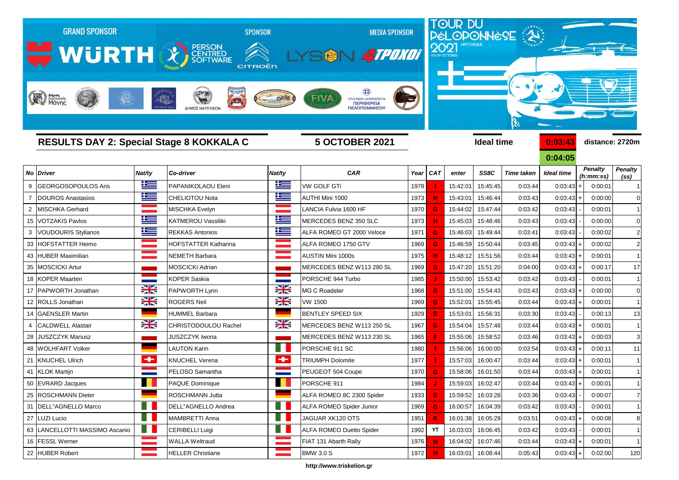

**http://www.triskelion.gr**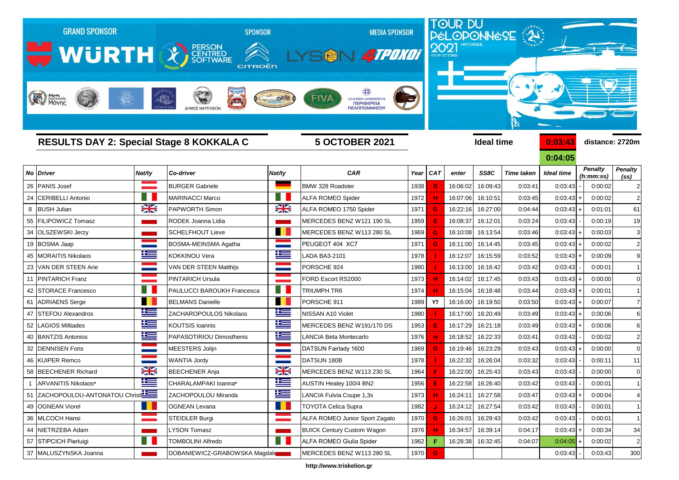

**http://www.triskelion.gr**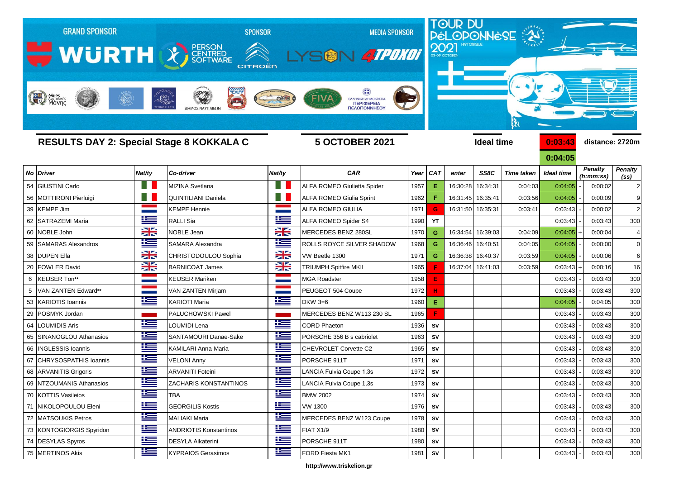